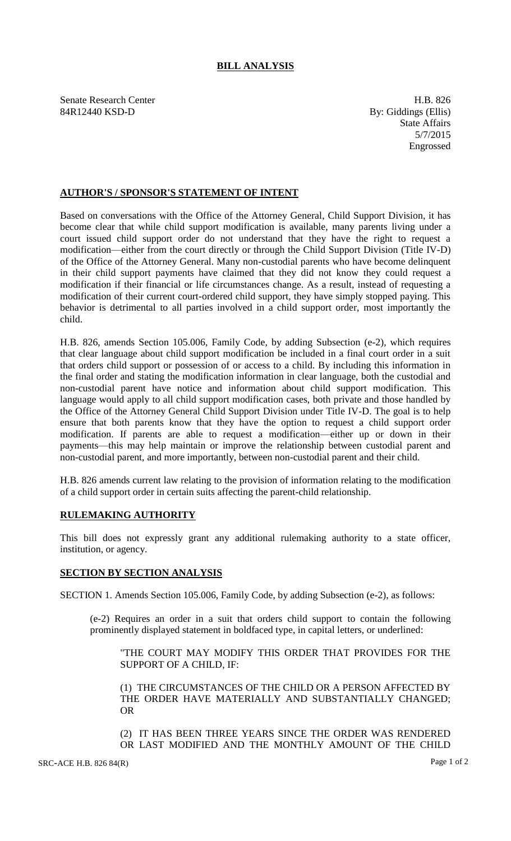# **BILL ANALYSIS**

Senate Research Center **H.B.** 826 84R12440 KSD-D By: Giddings (Ellis)

State Affairs 5/7/2015 Engrossed

## **AUTHOR'S / SPONSOR'S STATEMENT OF INTENT**

Based on conversations with the Office of the Attorney General, Child Support Division, it has become clear that while child support modification is available, many parents living under a court issued child support order do not understand that they have the right to request a modification—either from the court directly or through the Child Support Division (Title IV-D) of the Office of the Attorney General. Many non-custodial parents who have become delinquent in their child support payments have claimed that they did not know they could request a modification if their financial or life circumstances change. As a result, instead of requesting a modification of their current court-ordered child support, they have simply stopped paying. This behavior is detrimental to all parties involved in a child support order, most importantly the child.

H.B. 826, amends Section 105.006, Family Code, by adding Subsection (e-2), which requires that clear language about child support modification be included in a final court order in a suit that orders child support or possession of or access to a child. By including this information in the final order and stating the modification information in clear language, both the custodial and non-custodial parent have notice and information about child support modification. This language would apply to all child support modification cases, both private and those handled by the Office of the Attorney General Child Support Division under Title IV-D. The goal is to help ensure that both parents know that they have the option to request a child support order modification. If parents are able to request a modification—either up or down in their payments—this may help maintain or improve the relationship between custodial parent and non-custodial parent, and more importantly, between non-custodial parent and their child.

H.B. 826 amends current law relating to the provision of information relating to the modification of a child support order in certain suits affecting the parent-child relationship.

### **RULEMAKING AUTHORITY**

This bill does not expressly grant any additional rulemaking authority to a state officer, institution, or agency.

### **SECTION BY SECTION ANALYSIS**

SECTION 1. Amends Section 105.006, Family Code, by adding Subsection (e-2), as follows:

(e-2) Requires an order in a suit that orders child support to contain the following prominently displayed statement in boldfaced type, in capital letters, or underlined:

"THE COURT MAY MODIFY THIS ORDER THAT PROVIDES FOR THE SUPPORT OF A CHILD, IF:

(1) THE CIRCUMSTANCES OF THE CHILD OR A PERSON AFFECTED BY THE ORDER HAVE MATERIALLY AND SUBSTANTIALLY CHANGED; OR

(2) IT HAS BEEN THREE YEARS SINCE THE ORDER WAS RENDERED OR LAST MODIFIED AND THE MONTHLY AMOUNT OF THE CHILD